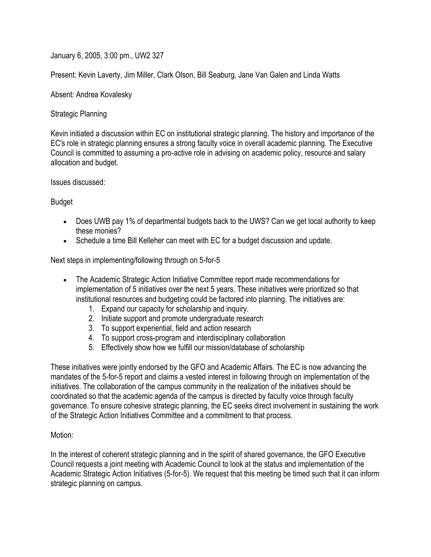January 6, 2005, 3:00 pm., UW2 327

Present: Kevin Laverty, Jim Miller, Clark Olson, Bill Seaburg, Jane Van Galen and Linda Watts

Absent: Andrea Kovalesky

Strategic Planning

Kevin initiated a discussion within EC on institutional strategic planning. The history and importance of the EC's role in strategic planning ensures a strong faculty voice in overall academic planning. The Executive Council is committed to assuming a pro-active role in advising on academic policy, resource and salary allocation and budget.

Issues discussed:

Budget

- Does UWB pay 1% of departmental budgets back to the UWS? Can we get local authority to keep these monies?
- Schedule a time Bill Kelleher can meet with EC for a budget discussion and update.

Next steps in implementing/following through on 5-for-5

- The Academic Strategic Action Initiative Committee report made recommendations for implementation of 5 initiatives over the next 5 years. These initiatives were prioritized so that institutional resources and budgeting could be factored into planning. The initiatives are:
	- 1. Expand our capacity for scholarship and inquiry.
	- 2. Initiate support and promote undergraduate research
	- 3. To support experiential, field and action research
	- 4. To support cross-program and interdisciplinary collaboration
	- 5. Effectively show how we fulfill our mission/database of scholarship

These initiatives were jointly endorsed by the GFO and Academic Affairs. The EC is now advancing the mandates of the 5-for-5 report and claims a vested interest in following through on implementation of the initiatives. The collaboration of the campus community in the realization of the initiatives should be coordinated so that the academic agenda of the campus is directed by faculty voice through faculty governance. To ensure cohesive strategic planning, the EC seeks direct involvement in sustaining the work of the Strategic Action Initiatives Committee and a commitment to that process.

## Motion:

In the interest of coherent strategic planning and in the spirit of shared governance, the GFO Executive Council requests a joint meeting with Academic Council to look at the status and implementation of the Academic Strategic Action Initiatives (5-for-5). We request that this meeting be timed such that it can inform strategic planning on campus.